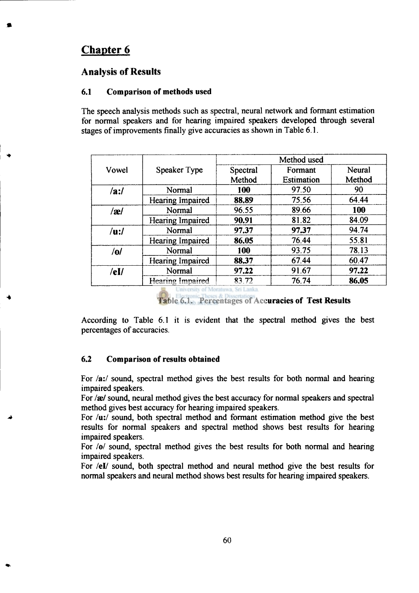# **Chapter 6**

## **Analysis of Results**

#### **6.1 Comparison of methods used**

The speech analysis methods such as spectral, neural network and formant estimation for normal speakers and for hearing impaired speakers developed through several stages of improvements finally give accuracies as shown in Table **6.1.** 

| Vowel      | Speaker Type     | Method used        |                              |                  |
|------------|------------------|--------------------|------------------------------|------------------|
|            |                  | Spectral<br>Method | Formant<br><b>Estimation</b> | Neural<br>Method |
| /ai/       | Normal           | 100                | 97.50                        | 90               |
|            | Hearing Impaired | 88.89              | 75.56                        | 64.44            |
| /æ/        | Normal           | 96.55              | 89.66                        | 100              |
|            | Hearing Impaired | 90.91              | 81.82                        | 84.09            |
| $/u$ :/    | Normal           | 97.37              | 97.37                        | 94.74            |
|            | Hearing Impaired | 86.05              | 76.44                        | 55.81            |
| /0/        | Normal           | 100                | 93.75                        | 78.13            |
|            | Hearing Impaired | 88.37              | 67.44                        | 60.47            |
| $/$ eI $/$ | Normal           | 97.22              | 91.67                        | 97.22            |
|            | Hearing Impaired | 83.72              | 76.74                        | 86.05            |

University of Moratuwa, Sri Lanka

**Table 6.1. Percentages of Accuracies of Test Results** 

According to Table 6.1 it is evident that the spectral method gives the best percentages of accuracies.

#### **6.2 Comparison of results obtained**

For **/a:/** sound, spectral method gives the best results for both normal and hearing impaired speakers.

For /æ/ sound, neural method gives the best accuracy for normal speakers and spectral method gives best accuracy for hearing impaired speakers.

For *lu:l* sound, both spectral method and formant estimation method give the best results for normal speakers and spectral method shows best results for hearing impaired speakers.

For *lol* sound, spectral method gives the best results for both normal and hearing impaired speakers.

For /el/ sound, both spectral method and neural method give the best results for normal speakers and neural method shows best results for hearing impaired speakers.